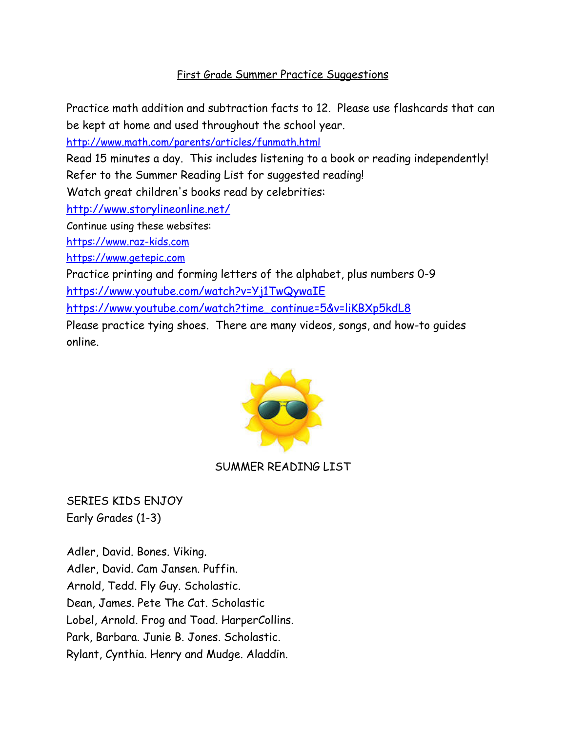## First Grade Summer Practice Suggestions

Practice math addition and subtraction facts to 12. Please use flashcards that can be kept at home and used throughout the school year.

<http://www.math.com/parents/articles/funmath.html>

Read 15 minutes a day. This includes listening to a book or reading independently! Refer to the Summer Reading List for suggested reading!

Watch great children's books read by celebrities:

<http://www.storylineonline.net/>

Continue using these websites:

<https://www.raz-kids.com>

<https://www.getepic.com>

Practice printing and forming letters of the alphabet, plus numbers 0-9

<https://www.youtube.com/watch?v=Yj1TwQywaIE>

[https://www.youtube.com/watch?time\\_continue=5&v=liKBXp5kdL8](https://www.youtube.com/watch?time_continue=5&v=liKBXp5kdL8)

Please practice tying shoes. There are many videos, songs, and how-to guides online.



## SUMMER READING LIST

SERIES KIDS ENJOY Early Grades (1-3)

Adler, David. Bones. Viking. Adler, David. Cam Jansen. Puffin. Arnold, Tedd. Fly Guy. Scholastic. Dean, James. Pete The Cat. Scholastic Lobel, Arnold. Frog and Toad. HarperCollins. Park, Barbara. Junie B. Jones. Scholastic. Rylant, Cynthia. Henry and Mudge. Aladdin.